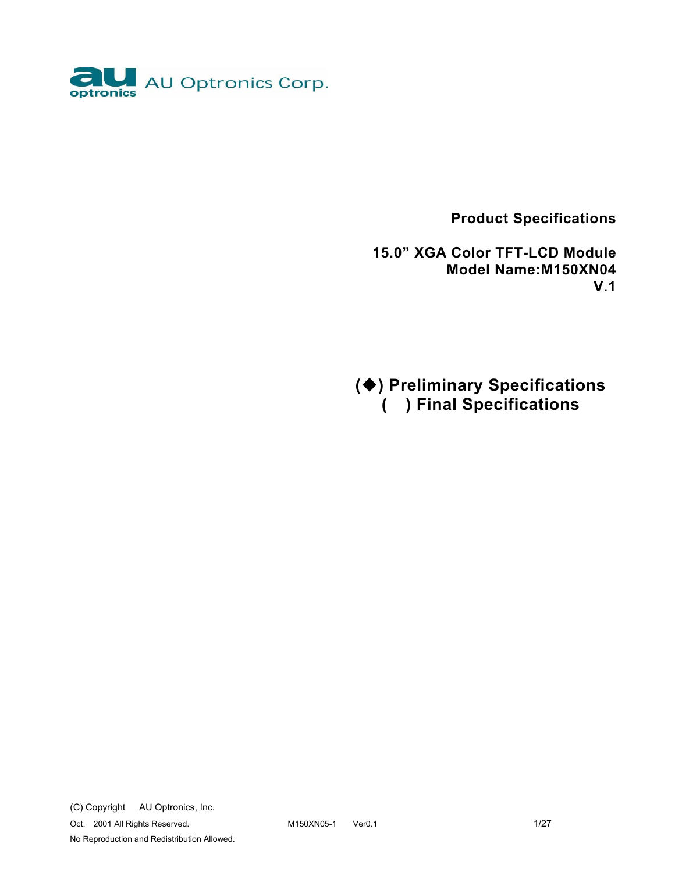

 **Product Specifications** 

 **15.0" XGA Color TFT-LCD Module Model Name:M150XN04 V.1** 

**() Preliminary Specifications ( ) Final Specifications**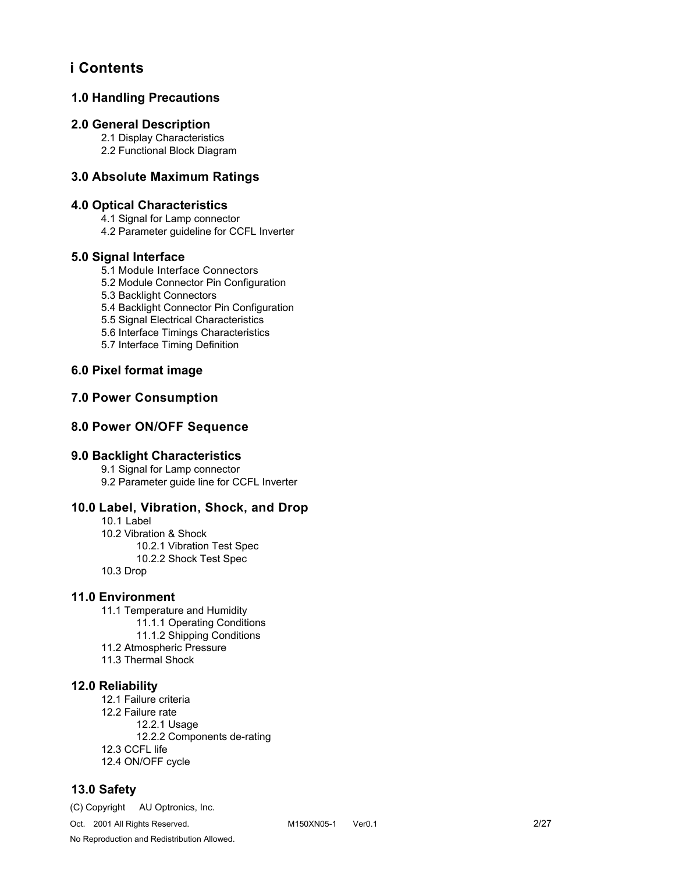# **i Contents**

## **1.0 Handling Precautions**

### **2.0 General Description**

 2.1 Display Characteristics 2.2 Functional Block Diagram

### **3.0 Absolute Maximum Ratings**

### **4.0 Optical Characteristics**

4.1 Signal for Lamp connector

4.2 Parameter guideline for CCFL Inverter

#### **5.0 Signal Interface**

- 5.1 Module Interface Connectors
- 5.2 Module Connector Pin Configuration
- 5.3 Backlight Connectors

5.4 Backlight Connector Pin Configuration

- 5.5 Signal Electrical Characteristics
- 5.6 Interface Timings Characteristics
- 5.7 Interface Timing Definition

## **6.0 Pixel format image**

### **7.0 Power Consumption**

### **8.0 Power ON/OFF Sequence**

#### **9.0 Backlight Characteristics**

9.1 Signal for Lamp connector

9.2 Parameter guide line for CCFL Inverter

### **10.0 Label, Vibration, Shock, and Drop**

10.1 Label 10.2 Vibration & Shock

 10.2.1 Vibration Test Spec 10.2.2 Shock Test Spec

10.3 Drop

#### **11.0 Environment**

11.1 Temperature and Humidity 11.1.1 Operating Conditions 11.1.2 Shipping Conditions 11.2 Atmospheric Pressure 11.3 Thermal Shock

#### **12.0 Reliability**

 12.1 Failure criteria 12.2 Failure rate 12.2.1 Usage 12.2.2 Components de-rating 12.3 CCFL life 12.4 ON/OFF cycle

### **13.0 Safety**

(C) Copyright AU Optronics, Inc.

No Reproduction and Redistribution Allowed.

Oct. 2001 All Rights Reserved. M150XN05-1 Ver0.1 2/27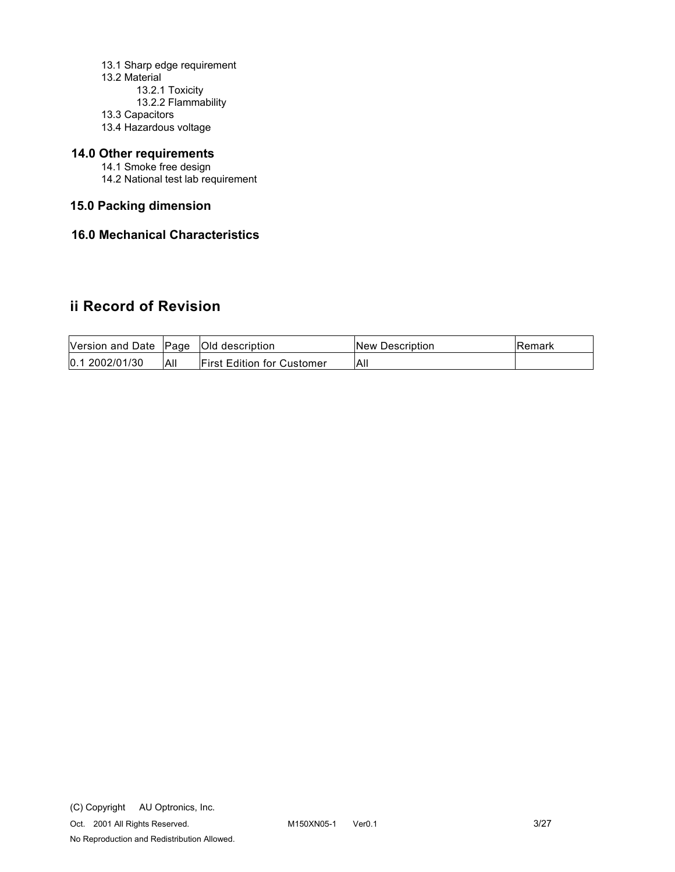- 13.1 Sharp edge requirement
- 13.2 Material
	- 13.2.1 Toxicity
	- 13.2.2 Flammability
- 13.3 Capacitors
- 13.4 Hazardous voltage

## **14.0 Other requirements**

- 14.1 Smoke free design
- 14.2 National test lab requirement

## **15.0 Packing dimension**

## **16.0 Mechanical Characteristics**

# **ii Record of Revision**

| Version and Date Page |     | <b>Old description</b>            | <b>INew Description</b> | lRemark |
|-----------------------|-----|-----------------------------------|-------------------------|---------|
| 0.12002/01/30         | All | <b>First Edition for Customer</b> | All                     |         |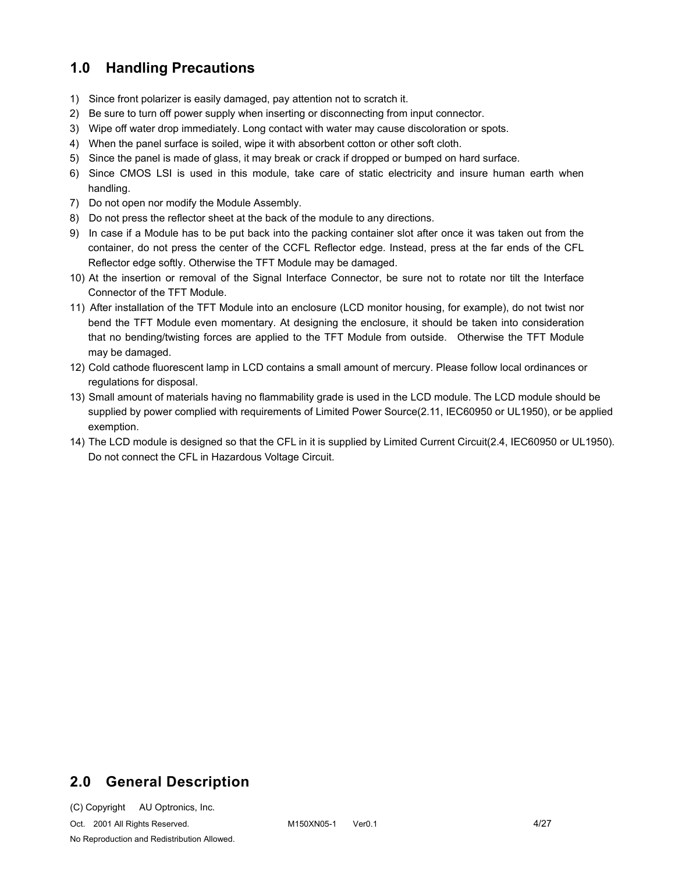# **1.0 Handling Precautions**

- 1) Since front polarizer is easily damaged, pay attention not to scratch it.
- 2) Be sure to turn off power supply when inserting or disconnecting from input connector.
- 3) Wipe off water drop immediately. Long contact with water may cause discoloration or spots.
- 4) When the panel surface is soiled, wipe it with absorbent cotton or other soft cloth.
- 5) Since the panel is made of glass, it may break or crack if dropped or bumped on hard surface.
- 6) Since CMOS LSI is used in this module, take care of static electricity and insure human earth when handling.
- 7) Do not open nor modify the Module Assembly.
- 8) Do not press the reflector sheet at the back of the module to any directions.
- 9) In case if a Module has to be put back into the packing container slot after once it was taken out from the container, do not press the center of the CCFL Reflector edge. Instead, press at the far ends of the CFL Reflector edge softly. Otherwise the TFT Module may be damaged.
- 10) At the insertion or removal of the Signal Interface Connector, be sure not to rotate nor tilt the Interface Connector of the TFT Module.
- 11) After installation of the TFT Module into an enclosure (LCD monitor housing, for example), do not twist nor bend the TFT Module even momentary. At designing the enclosure, it should be taken into consideration that no bending/twisting forces are applied to the TFT Module from outside. Otherwise the TFT Module may be damaged.
- 12) Cold cathode fluorescent lamp in LCD contains a small amount of mercury. Please follow local ordinances or regulations for disposal.
- 13) Small amount of materials having no flammability grade is used in the LCD module. The LCD module should be supplied by power complied with requirements of Limited Power Source(2.11, IEC60950 or UL1950), or be applied exemption.
- 14) The LCD module is designed so that the CFL in it is supplied by Limited Current Circuit(2.4, IEC60950 or UL1950). Do not connect the CFL in Hazardous Voltage Circuit.

# **2.0 General Description**

(C) Copyright AU Optronics, Inc.

Oct. 2001 All Rights Reserved. M150XN05-1 Ver0.1 4/27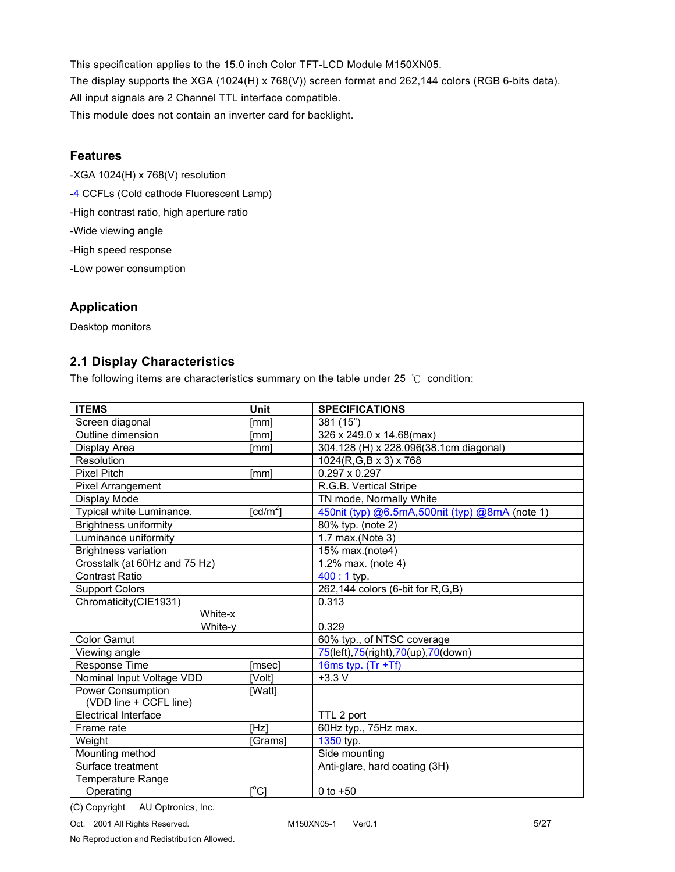This specification applies to the 15.0 inch Color TFT-LCD Module M150XN05. The display supports the XGA (1024(H) x 768(V)) screen format and 262,144 colors (RGB 6-bits data). All input signals are 2 Channel TTL interface compatible. This module does not contain an inverter card for backlight.

## **Features**

- -XGA 1024(H) x 768(V) resolution -4 CCFLs (Cold cathode Fluorescent Lamp)
- -High contrast ratio, high aperture ratio
- -Wide viewing angle
- -High speed response
- -Low power consumption

# **Application**

Desktop monitors

## **2.1 Display Characteristics**

The following items are characteristics summary on the table under 25  $^{\circ}$ C condition:

| <b>ITEMS</b>                  | Unit                           | <b>SPECIFICATIONS</b>                          |
|-------------------------------|--------------------------------|------------------------------------------------|
| Screen diagonal               | <b>Imml</b>                    | 381 (15")                                      |
| Outline dimension             | Imml                           | 326 x 249.0 x 14.68(max)                       |
| Display Area                  | [mm]                           | 304.128 (H) x 228.096(38.1cm diagonal)         |
| Resolution                    |                                | 1024(R,G,B x 3) x 768                          |
| <b>Pixel Pitch</b>            | <b>Imml</b>                    | $0.297 \times 0.297$                           |
| Pixel Arrangement             |                                | R.G.B. Vertical Stripe                         |
| Display Mode                  |                                | TN mode, Normally White                        |
| Typical white Luminance.      | $\lceil \frac{cd}{m^2} \rceil$ | 450nit (typ) @6.5mA,500nit (typ) @8mA (note 1) |
| <b>Brightness uniformity</b>  |                                | 80% typ. (note 2)                              |
| Luminance uniformity          |                                | 1.7 max.(Note 3)                               |
| <b>Brightness variation</b>   |                                | 15% max.(note4)                                |
| Crosstalk (at 60Hz and 75 Hz) |                                | 1.2% max. (note 4)                             |
| <b>Contrast Ratio</b>         |                                | $400:1$ typ.                                   |
| <b>Support Colors</b>         |                                | 262,144 colors (6-bit for R,G,B)               |
| Chromaticity(CIE1931)         |                                | 0.313                                          |
| White-x                       |                                |                                                |
| White-y                       |                                | 0.329                                          |
| <b>Color Gamut</b>            |                                | 60% typ., of NTSC coverage                     |
| Viewing angle                 |                                | 75(left), 75(right), 70(up), 70(down)          |
| Response Time                 | [msec]                         | 16ms typ. $(Tr + Tf)$                          |
| Nominal Input Voltage VDD     | [Volt]                         | $+3.3V$                                        |
| <b>Power Consumption</b>      | [Watt]                         |                                                |
| (VDD line + CCFL line)        |                                |                                                |
| <b>Electrical Interface</b>   |                                | TTL 2 port                                     |
| Frame rate                    | [Hz]                           | 60Hz typ., 75Hz max.                           |
| Weight                        | [Grams]                        | 1350 typ.                                      |
| Mounting method               |                                | Side mounting                                  |
| Surface treatment             |                                | Anti-glare, hard coating (3H)                  |
| Temperature Range             |                                |                                                |
| Operating                     | $\lceil{^{\circ}C}\rceil$      | 0 to $+50$                                     |

(C) Copyright AU Optronics, Inc.

No Reproduction and Redistribution Allowed.

Oct. 2001 All Rights Reserved. M150XN05-1 Ver0.1 5/27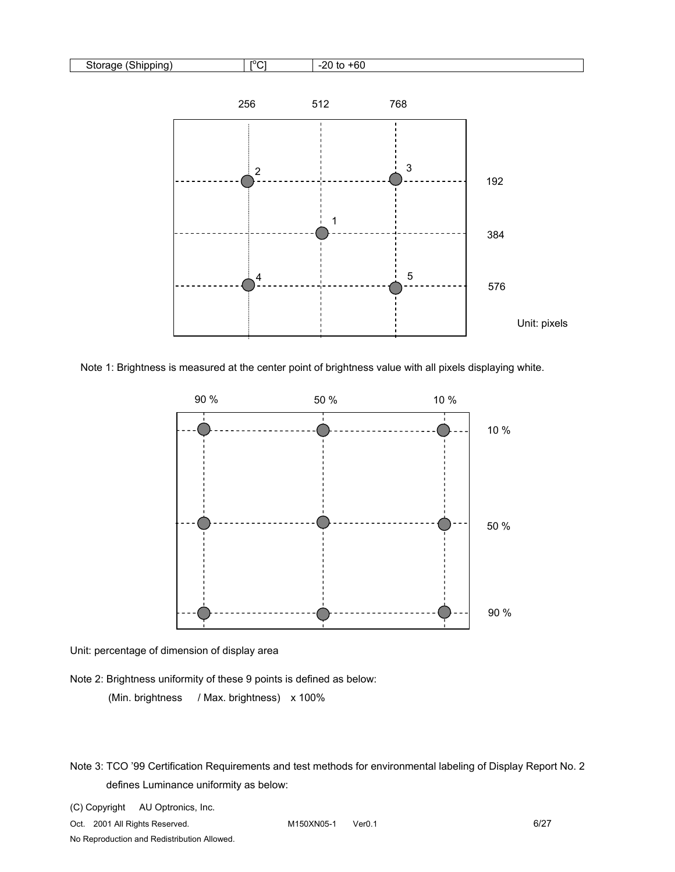

Note 1: Brightness is measured at the center point of brightness value with all pixels displaying white.



 Unit: percentage of dimension of display area

Note 2: Brightness uniformity of these 9 points is defined as below:

(Min. brightness / Max. brightness) x 100%

(C) Copyright AU Optronics, Inc.

Oct. 2001 All Rights Reserved. M150XN05-1 Ver0.1 6/27

Note 3: TCO '99 Certification Requirements and test methods for environmental labeling of Display Report No. 2 defines Luminance uniformity as below: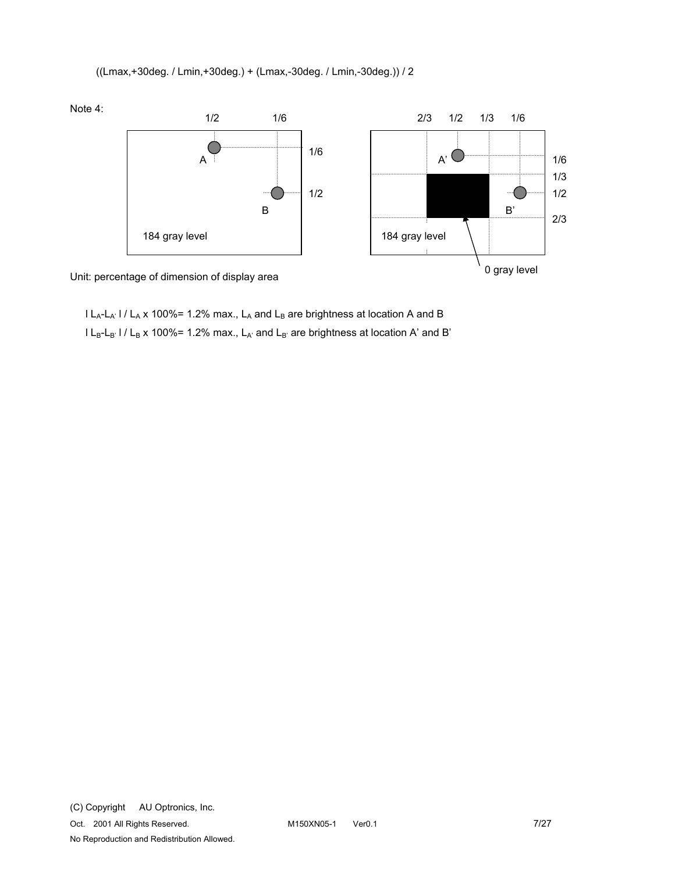((Lmax,+30deg. / Lmin,+30deg.) + (Lmax,-30deg. / Lmin,-30deg.)) / 2



Unit: percentage of dimension of display area

 $l L_A-L_A'$  l /  $L_A$  x 100%= 1.2% max.,  $L_A$  and  $L_B$  are brightness at location A and B  $l L_B-L_B$ '  $l / L_B$  x 100%= 1.2% max.,  $L_{A'}$  and  $L_{B'}$  are brightness at location A' and B'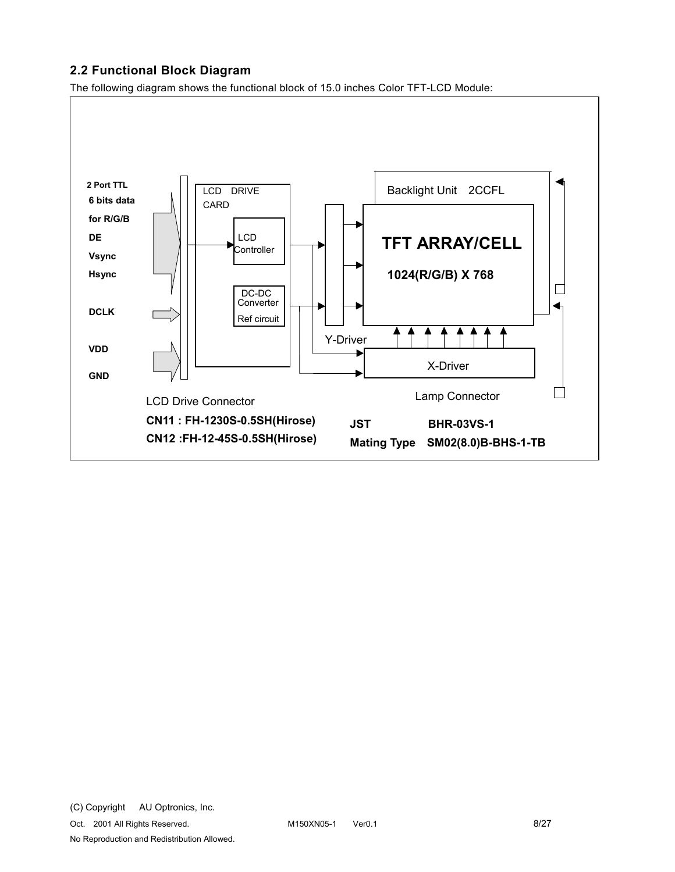## **2.2 Functional Block Diagram**

The following diagram shows the functional block of 15.0 inches Color TFT-LCD Module:

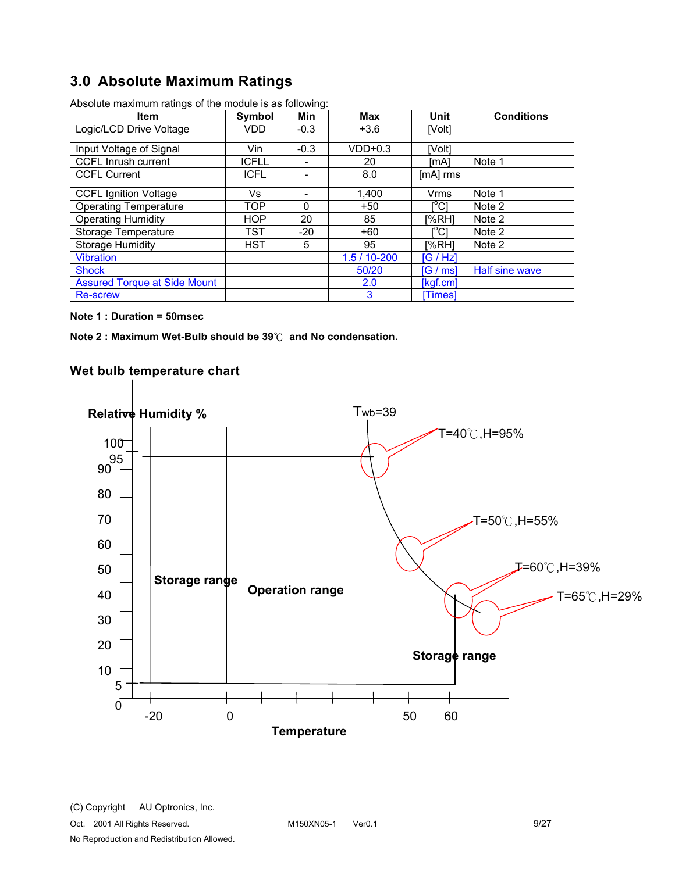# **3.0 Absolute Maximum Ratings**

| <b>Item</b>                         | Symbol       | Min    | <b>Max</b>     | Unit                                    | <b>Conditions</b> |
|-------------------------------------|--------------|--------|----------------|-----------------------------------------|-------------------|
| Logic/LCD Drive Voltage             | VDD          | $-0.3$ | $+3.6$         | [Volt]                                  |                   |
| Input Voltage of Signal             | Vin          | $-0.3$ | $VDD+0.3$      | [Volt]                                  |                   |
| <b>CCFL Inrush current</b>          | <b>ICFLL</b> |        | 20             | [mA]                                    | Note 1            |
| <b>CCFL Current</b>                 | <b>ICFL</b>  |        | 8.0            | [mA] rms                                |                   |
| <b>CCFL Ignition Voltage</b>        | Vs           |        | 1,400          | <b>Vrms</b>                             | Note 1            |
| <b>Operating Temperature</b>        | TOP          | 0      | $+50$          | I°C1                                    | Note 2            |
| <b>Operating Humidity</b>           | <b>HOP</b>   | 20     | 85             | I%RH1                                   | Note 2            |
| Storage Temperature                 | TST          | $-20$  | $+60$          | $\mathsf{I}^\circ\mathsf{C} \mathsf{I}$ | Note 2            |
| <b>Storage Humidity</b>             | <b>HST</b>   | 5      | 95             | I%RHI                                   | Note 2            |
| <b>Vibration</b>                    |              |        | $1.5/10 - 200$ | [G/HZ]                                  |                   |
| <b>Shock</b>                        |              |        | 50/20          | IG / msl                                | Half sine wave    |
| <b>Assured Torque at Side Mount</b> |              |        | 2.0            | [kgf.cm]                                |                   |
| <b>Re-screw</b>                     |              |        | 3              | [Times]                                 |                   |

Absolute maximum ratings of the module is as following:

#### **Note 1 : Duration = 50msec**

**Note 2 : Maximum Wet-Bulb should be 39**к **and No condensation.**

## **Wet bulb temperature chart**

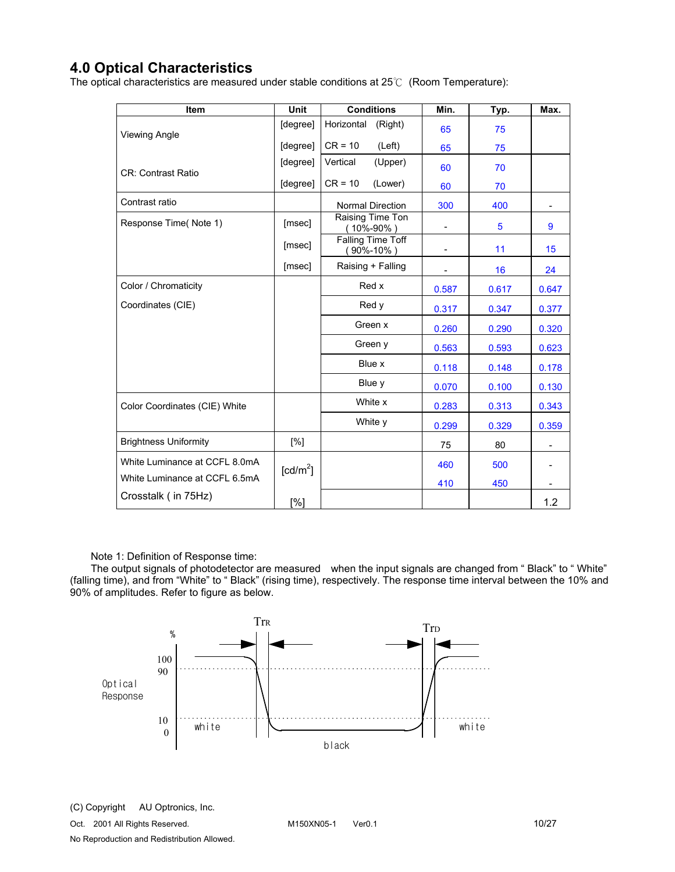# **4.0 Optical Characteristics**

The optical characteristics are measured under stable conditions at  $25^{\circ}$  (Room Temperature):

| Item                          | <b>Unit</b>          | <b>Conditions</b>                    | Min.                     | Typ.  | Max.  |
|-------------------------------|----------------------|--------------------------------------|--------------------------|-------|-------|
| Viewing Angle                 | [degree]             | Horizontal<br>(Right)                | 65                       | 75    |       |
|                               | [degree]             | $CR = 10$<br>(Left)                  | 65                       | 75    |       |
| <b>CR: Contrast Ratio</b>     | [degree]             | Vertical<br>(Upper)                  | 60                       | 70    |       |
|                               | [degree]             | $CR = 10$<br>(Lower)                 | 60                       | 70    |       |
| Contrast ratio                |                      | <b>Normal Direction</b>              | 300                      | 400   |       |
| Response Time(Note 1)         | [msec]               | Raising Time Ton<br>(10%-90%)        | $\overline{\phantom{a}}$ | 5     | 9     |
|                               | [msec]               | Falling Time Toff<br>$(90\% - 10\%)$ | $\overline{\phantom{a}}$ | 11    | 15    |
|                               | [msec]               | Raising + Falling                    |                          | 16    | 24    |
| Color / Chromaticity          |                      | Red x                                | 0.587                    | 0.617 | 0.647 |
| Coordinates (CIE)             |                      | Red y                                | 0.317                    | 0.347 | 0.377 |
|                               |                      | Green x                              | 0.260                    | 0.290 | 0.320 |
|                               |                      | Green y                              | 0.563                    | 0.593 | 0.623 |
|                               |                      | Blue x                               | 0.118                    | 0.148 | 0.178 |
|                               |                      | Blue y                               | 0.070                    | 0.100 | 0.130 |
| Color Coordinates (CIE) White |                      | White x                              | 0.283                    | 0.313 | 0.343 |
|                               |                      | White y                              | 0.299                    | 0.329 | 0.359 |
| <b>Brightness Uniformity</b>  | [%]                  |                                      | 75                       | 80    |       |
| White Luminance at CCFL 8.0mA | [cd/m <sup>2</sup> ] |                                      | 460                      | 500   |       |
| White Luminance at CCFL 6.5mA |                      |                                      | 410                      | 450   |       |
| Crosstalk (in 75Hz)           | [%]                  |                                      |                          |       | 1.2   |

Note 1: Definition of Response time:

The output signals of photodetector are measured when the input signals are changed from " Black" to " White" (falling time), and from "White" to " Black" (rising time), respectively. The response time interval between the 10% and 90% of amplitudes. Refer to figure as below.

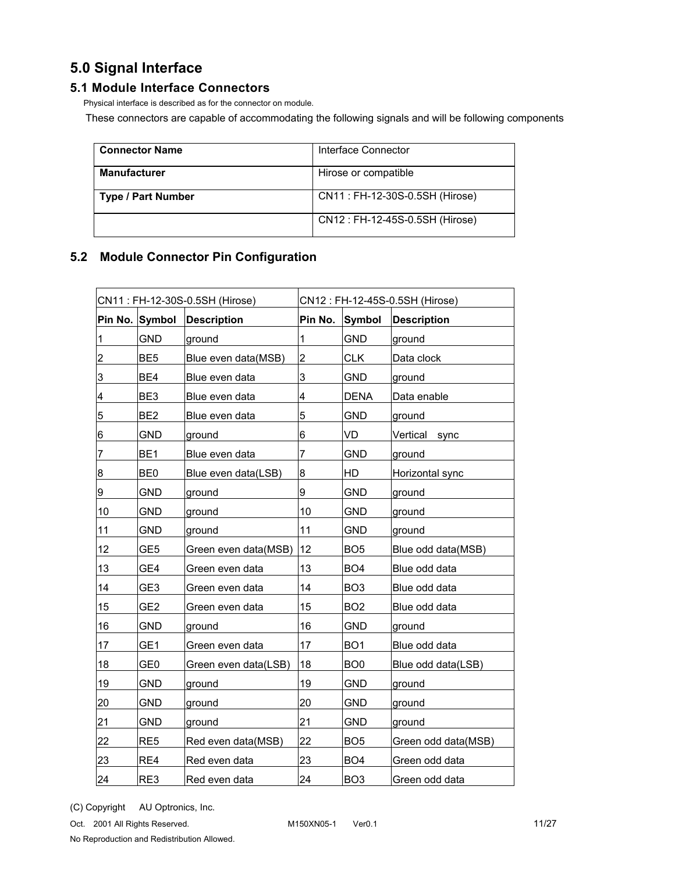# **5.0 Signal Interface**

## **5.1 Module Interface Connectors**

Physical interface is described as for the connector on module.

These connectors are capable of accommodating the following signals and will be following components

| <b>Connector Name</b>     | Interface Connector            |
|---------------------------|--------------------------------|
| <b>Manufacturer</b>       | Hirose or compatible           |
| <b>Type / Part Number</b> | CN11: FH-12-30S-0.5SH (Hirose) |
|                           | CN12: FH-12-45S-0.5SH (Hirose) |

# **5.2 Module Connector Pin Configuration**

| CN11: FH-12-30S-0.5SH (Hirose) |                 | CN12: FH-12-45S-0.5SH (Hirose) |                |                 |                     |
|--------------------------------|-----------------|--------------------------------|----------------|-----------------|---------------------|
|                                | Pin No. Symbol  | <b>Description</b>             | Pin No.        | Symbol          | <b>Description</b>  |
| $\mathbf 1$                    | <b>GND</b>      | ground                         | 1              | <b>GND</b>      | ground              |
| $\overline{\mathbf{c}}$        | BE <sub>5</sub> | Blue even data(MSB)            | $\overline{2}$ | <b>CLK</b>      | Data clock          |
| 3                              | BE4             | Blue even data                 | 3              | GND             | ground              |
| 4                              | BE3             | Blue even data                 | 4              | <b>DENA</b>     | Data enable         |
| 5                              | BE <sub>2</sub> | Blue even data                 | 5              | <b>GND</b>      | ground              |
| 6                              | <b>GND</b>      | ground                         | 6              | VD              | Vertical<br>sync    |
| $\overline{7}$                 | BE <sub>1</sub> | Blue even data                 | 7              | <b>GND</b>      | ground              |
| 8                              | BE <sub>0</sub> | Blue even data(LSB)            | 8              | HD              | Horizontal sync     |
| 9                              | <b>GND</b>      | ground                         | 9              | <b>GND</b>      | ground              |
| 10                             | <b>GND</b>      | ground                         | 10             | <b>GND</b>      | ground              |
| 11                             | <b>GND</b>      | ground                         | 11             | <b>GND</b>      | ground              |
| 12                             | GE5             | Green even data(MSB)           | 12             | BO <sub>5</sub> | Blue odd data(MSB)  |
| 13                             | GE4             | Green even data                | 13             | BO <sub>4</sub> | Blue odd data       |
| 14                             | GE3             | Green even data                | 14             | BO <sub>3</sub> | Blue odd data       |
| 15                             | GE <sub>2</sub> | Green even data                | 15             | BO <sub>2</sub> | Blue odd data       |
| 16                             | <b>GND</b>      | ground                         | 16             | <b>GND</b>      | ground              |
| 17                             | GE1             | Green even data                | 17             | BO <sub>1</sub> | Blue odd data       |
| 18                             | GE <sub>0</sub> | Green even data(LSB)           | 18             | BO <sub>0</sub> | Blue odd data(LSB)  |
| 19                             | <b>GND</b>      | ground                         | 19             | <b>GND</b>      | ground              |
| 20                             | <b>GND</b>      | ground                         | 20             | <b>GND</b>      | ground              |
| 21                             | GND             | ground                         | 21             | GND             | ground              |
| 22                             | RE <sub>5</sub> | Red even data(MSB)             | 22             | BO <sub>5</sub> | Green odd data(MSB) |
| 23                             | RE4             | Red even data                  | 23             | BO <sub>4</sub> | Green odd data      |
| 24                             | RE3             | Red even data                  | 24             | BO <sub>3</sub> | Green odd data      |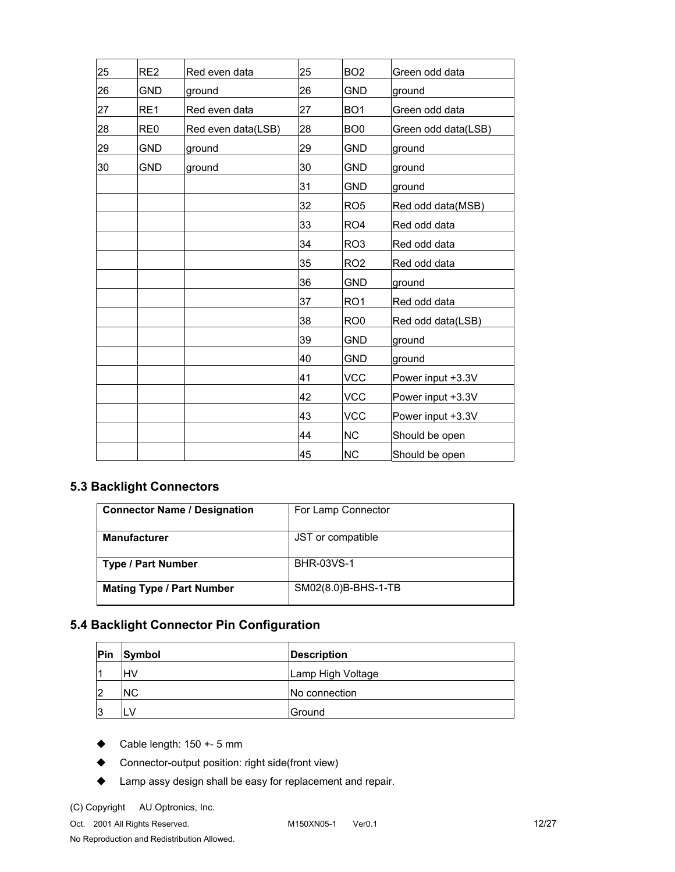| 25 | RE <sub>2</sub> | Red even data      | 25 | BO <sub>2</sub> | Green odd data      |
|----|-----------------|--------------------|----|-----------------|---------------------|
| 26 | <b>GND</b>      | ground             | 26 | <b>GND</b>      | ground              |
| 27 | RE <sub>1</sub> | Red even data      | 27 | BO <sub>1</sub> | Green odd data      |
| 28 | RE <sub>0</sub> | Red even data(LSB) | 28 | BO <sub>0</sub> | Green odd data(LSB) |
| 29 | <b>GND</b>      | ground             | 29 | <b>GND</b>      | ground              |
| 30 | <b>GND</b>      | ground             | 30 | <b>GND</b>      | ground              |
|    |                 |                    | 31 | <b>GND</b>      | ground              |
|    |                 |                    | 32 | RO <sub>5</sub> | Red odd data(MSB)   |
|    |                 |                    | 33 | RO <sub>4</sub> | Red odd data        |
|    |                 |                    | 34 | RO <sub>3</sub> | Red odd data        |
|    |                 |                    | 35 | RO <sub>2</sub> | Red odd data        |
|    |                 |                    | 36 | <b>GND</b>      | ground              |
|    |                 |                    | 37 | RO <sub>1</sub> | Red odd data        |
|    |                 |                    | 38 | RO <sub>0</sub> | Red odd data(LSB)   |
|    |                 |                    | 39 | <b>GND</b>      | ground              |
|    |                 |                    | 40 | <b>GND</b>      | ground              |
|    |                 |                    | 41 | <b>VCC</b>      | Power input +3.3V   |
|    |                 |                    | 42 | <b>VCC</b>      | Power input +3.3V   |
|    |                 |                    | 43 | <b>VCC</b>      | Power input +3.3V   |
|    |                 |                    | 44 | <b>NC</b>       | Should be open      |
|    |                 |                    | 45 | <b>NC</b>       | Should be open      |

# **5.3 Backlight Connectors**

| <b>Connector Name / Designation</b> | For Lamp Connector  |
|-------------------------------------|---------------------|
| <b>Manufacturer</b>                 | JST or compatible   |
| <b>Type / Part Number</b>           | <b>BHR-03VS-1</b>   |
| <b>Mating Type / Part Number</b>    | SM02(8.0)B-BHS-1-TB |

# **5.4 Backlight Connector Pin Configuration**

| Pin | Symbol    | <b>Description</b> |
|-----|-----------|--------------------|
|     | lHV       | Lamp High Voltage  |
| 12  | <b>NC</b> | INo connection     |
| 13  | LV        | Ground             |

- $\blacklozenge$  Cable length: 150 +- 5 mm
- ◆ Connector-output position: right side(front view)
- ◆ Lamp assy design shall be easy for replacement and repair.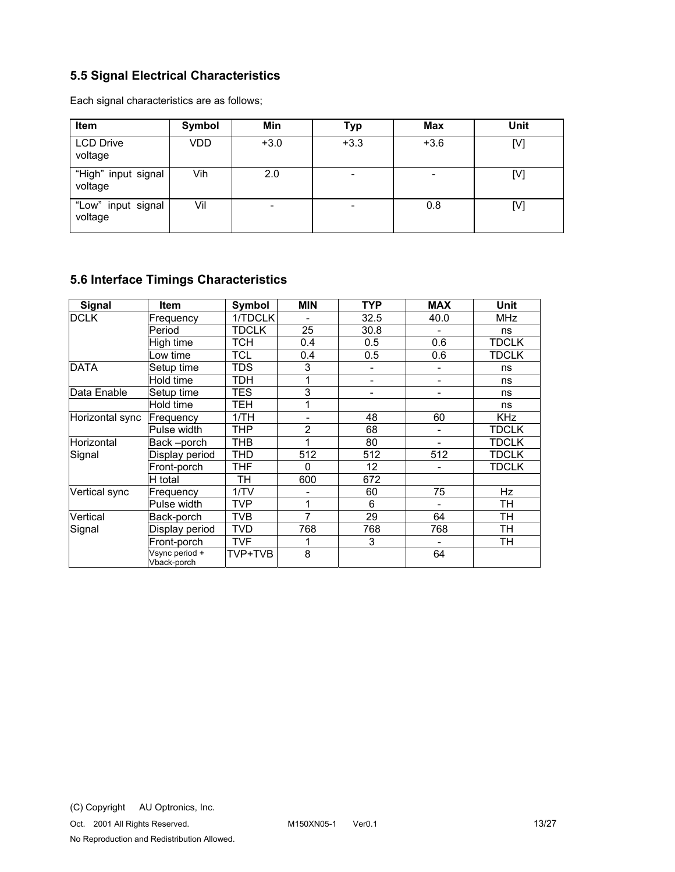# **5.5 Signal Electrical Characteristics**

Each signal characteristics are as follows;

| <b>Item</b>                    | Symbol | Min    | <b>Typ</b>               | <b>Max</b> | Unit |
|--------------------------------|--------|--------|--------------------------|------------|------|
| <b>LCD Drive</b><br>voltage    | VDD    | $+3.0$ | $+3.3$                   | $+3.6$     | [V]  |
| "High" input signal<br>voltage | Vih    | 2.0    | $\overline{\phantom{0}}$ |            | [V]  |
| "Low" input signal<br>voltage  | Vil    | -      |                          | 0.8        | [V]  |

# **5.6 Interface Timings Characteristics**

| Signal            | <b>Item</b>                   | Symbol       | <b>MIN</b>     | <b>TYP</b> | <b>MAX</b>                   | Unit         |
|-------------------|-------------------------------|--------------|----------------|------------|------------------------------|--------------|
| <b>DCLK</b>       | Frequency                     | 1/TDCLK      |                | 32.5       | 40.0                         | <b>MHz</b>   |
|                   | Period                        | <b>TDCLK</b> | 25             | 30.8       | $\qquad \qquad \blacksquare$ | ns           |
|                   | High time                     | тсн          | 0.4            | 0.5        | 0.6                          | <b>TDCLK</b> |
|                   | Low time                      | <b>TCL</b>   | 0.4            | 0.5        | 0.6                          | <b>TDCLK</b> |
| <b>DATA</b>       | Setup time                    | <b>TDS</b>   | 3              |            |                              | ns           |
|                   | Hold time                     | TDH          | 1              | -          | $\qquad \qquad \blacksquare$ | ns           |
| Data Enable       | Setup time                    | <b>TES</b>   | 3              | ۰          | -                            | ns           |
|                   | Hold time                     | TEH          | 1              |            |                              | ns           |
| Horizontal sync   | Frequency                     | 1/TH         |                | 48         | 60                           | <b>KHz</b>   |
|                   | Pulse width                   | THP          | $\overline{2}$ | 68         | $\overline{\phantom{a}}$     | <b>TDCLK</b> |
| <b>Horizontal</b> | Back-porch                    | <b>THB</b>   | 1              | 80         | -                            | <b>TDCLK</b> |
| Signal            | Display period                | <b>THD</b>   | 512            | 512        | 512                          | <b>TDCLK</b> |
|                   | Front-porch                   | THF          | $\Omega$       | 12         |                              | TDCLK        |
|                   | H total                       | TН           | 600            | 672        |                              |              |
| Vertical sync     | Frequency                     | 1/TV         |                | 60         | 75                           | <b>Hz</b>    |
|                   | Pulse width                   | <b>TVP</b>   | 1              | 6          | $\overline{\phantom{a}}$     | TH           |
| Vertical          | Back-porch                    | <b>TVB</b>   | $\overline{7}$ | 29         | 64                           | <b>TH</b>    |
| Signal            | Display period                | <b>TVD</b>   | 768            | 768        | 768                          | <b>TH</b>    |
|                   | Front-porch                   | <b>TVF</b>   |                | 3          |                              | TН           |
|                   | Vsync period +<br>Vback-porch | TVP+TVB      | 8              |            | 64                           |              |

Oct. 2001 All Rights Reserved. M150XN05-1 Ver0.1 13/27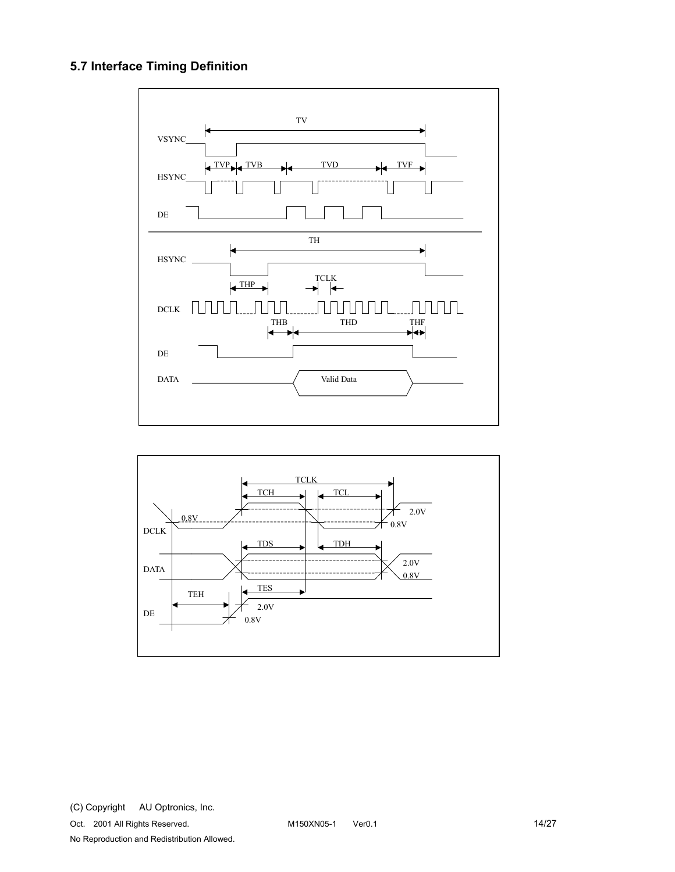# **5.7 Interface Timing Definition**



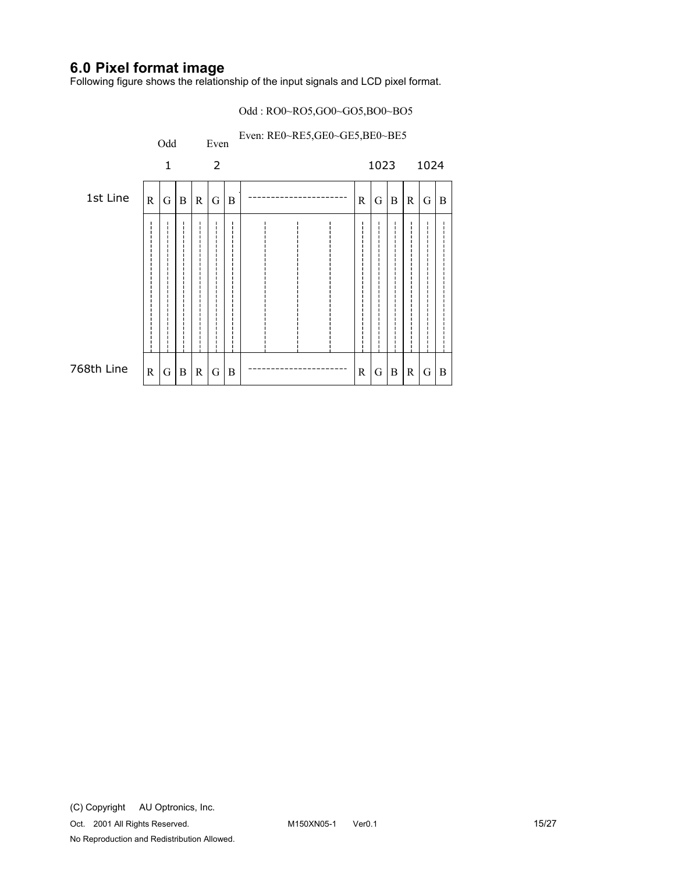# **6.0 Pixel format image**

Following figure shows the relationship of the input signals and LCD pixel format.

#### Odd : RO0~RO5,GO0~GO5,BO0~BO5

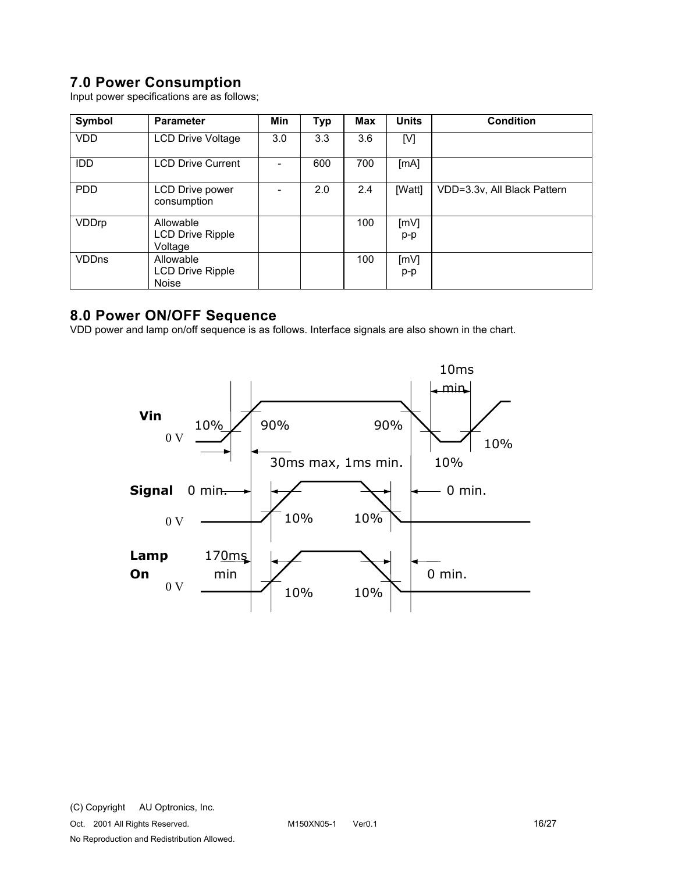# **7.0 Power Consumption**

Input power specifications are as follows;

| Symbol       | <b>Parameter</b>                                     | Min | <b>Typ</b> | Max | <b>Units</b> | <b>Condition</b>            |
|--------------|------------------------------------------------------|-----|------------|-----|--------------|-----------------------------|
| <b>VDD</b>   | <b>LCD Drive Voltage</b>                             | 3.0 | 3.3        | 3.6 | [V]          |                             |
| <b>IDD</b>   | <b>LCD Drive Current</b>                             |     | 600        | 700 | [MA]         |                             |
| <b>PDD</b>   | <b>LCD Drive power</b><br>consumption                |     | 2.0        | 2.4 | [Watt]       | VDD=3.3v, All Black Pattern |
| VDDrp        | Allowable<br>LCD Drive Ripple<br>Voltage             |     |            | 100 | [mV]<br>p-p  |                             |
| <b>VDDns</b> | Allowable<br><b>LCD Drive Ripple</b><br><b>Noise</b> |     |            | 100 | [mV]<br>p-p  |                             |

# **8.0 Power ON/OFF Sequence**

VDD power and lamp on/off sequence is as follows. Interface signals are also shown in the chart.

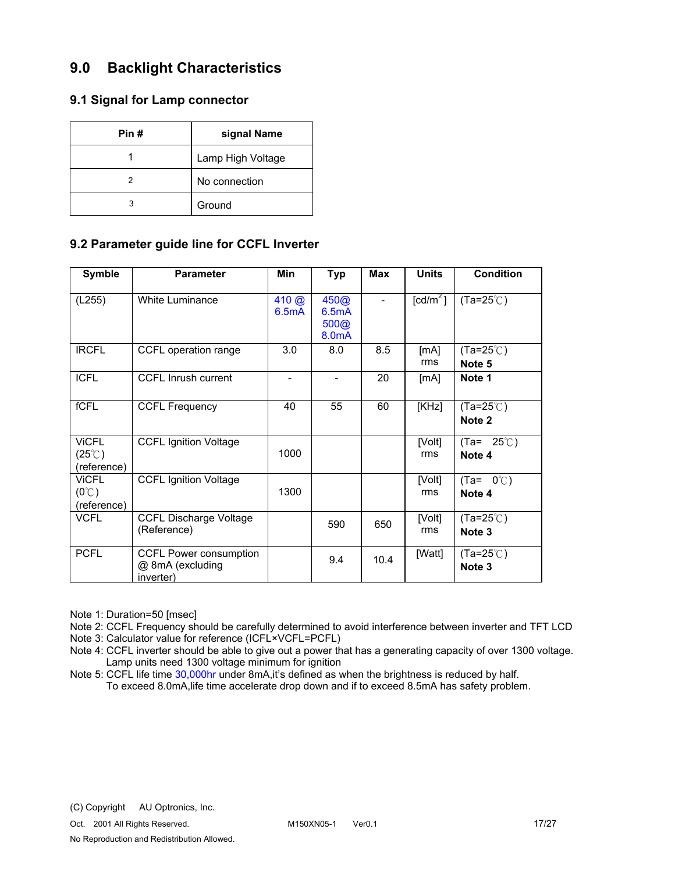# **9.0 Backlight Characteristics**

## **9.1 Signal for Lamp connector**

| Pin # | signal Name       |  |
|-------|-------------------|--|
|       | Lamp High Voltage |  |
|       | No connection     |  |
| 3     | Ground            |  |

## **9.2 Parameter guide line for CCFL Inverter**

| <b>Symble</b>                                   | <b>Parameter</b>                                        | Min                   | <b>Typ</b>                                  | <b>Max</b> | <b>Units</b>           | <b>Condition</b>              |
|-------------------------------------------------|---------------------------------------------------------|-----------------------|---------------------------------------------|------------|------------------------|-------------------------------|
| (L255)                                          | <b>White Luminance</b>                                  | $410 \omega$<br>6.5mA | 450@<br>6.5mA<br>500@<br>8.0 <sub>m</sub> A |            | $\lceil cd/m^2 \rceil$ | $(Ta=25^{\circ}C)$            |
| <b>IRCFL</b>                                    | CCFL operation range                                    | 3.0                   | 8.0                                         | 8.5        | [MA]<br>rms            | $(Ta=25^{\circ}C)$<br>Note 5  |
| <b>ICFL</b>                                     | CCFL Inrush current                                     |                       | ۰                                           | 20         | [MA]                   | Note 1                        |
| fCFL                                            | <b>CCFL Frequency</b>                                   | 40                    | 55                                          | 60         | [KHz]                  | $(Ta=25^{\circ}C)$<br>Note 2  |
| <b>ViCFL</b><br>$(25^{\circ}$ C)<br>(reference) | <b>CCFL Ignition Voltage</b>                            | 1000                  |                                             |            | [Volt]<br>rms          | 25℃)<br>(Ta=<br>Note 4        |
| <b>VICFL</b><br>$(0^{\circ}C)$<br>(reference)   | <b>CCFL Ignition Voltage</b>                            | 1300                  |                                             |            | [Volt]<br>rms          | $(Ta = 0^{\circ}C)$<br>Note 4 |
| <b>VCFL</b>                                     | <b>CCFL Discharge Voltage</b><br>(Reference)            |                       | 590                                         | 650        | [Volt]<br>rms          | $(Ta=25^{\circ}C)$<br>Note 3  |
| <b>PCFL</b>                                     | CCFL Power consumption<br>@ 8mA (excluding<br>inverter) |                       | 9.4                                         | 10.4       | [Watt]                 | $(Ta=25^{\circ}C)$<br>Note 3  |

Note 1: Duration=50 [msec]

Note 2: CCFL Frequency should be carefully determined to avoid interference between inverter and TFT LCD Note 3: Calculator value for reference (ICFL×VCFL=PCFL)

Note 4: CCFL inverter should be able to give out a power that has a generating capacity of over 1300 voltage. Lamp units need 1300 voltage minimum for ignition

Note 5: CCFL life time 30,000hr under 8mA,it's defined as when the brightness is reduced by half.

To exceed 8.0mA,life time accelerate drop down and if to exceed 8.5mA has safety problem.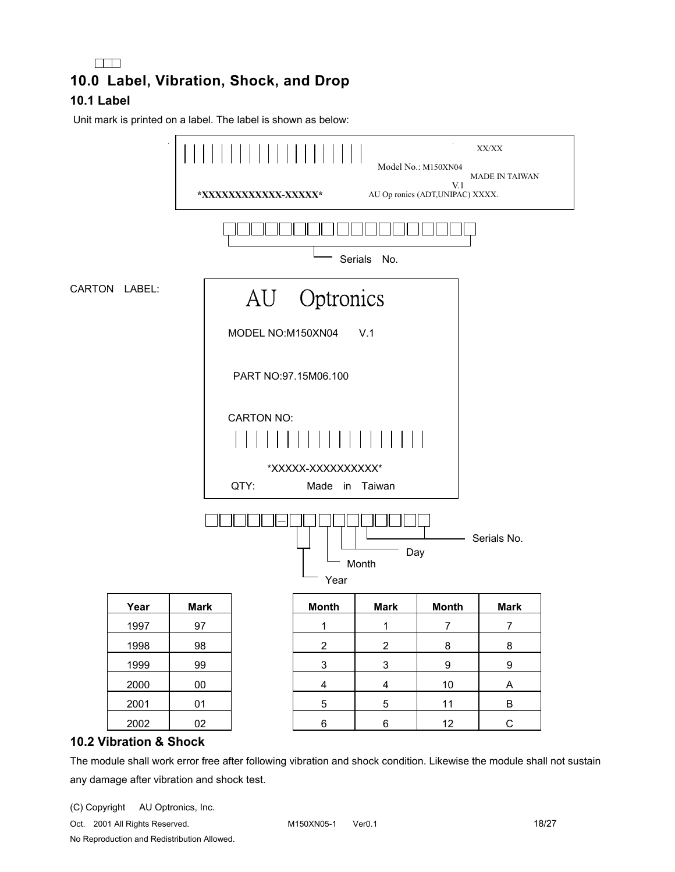# $\Box$ **10.0 Label, Vibration, Shock, and Drop 10.1 Label**

Unit mark is printed on a label. The label is shown as below:



### **10.2 Vibration & Shock**

The module shall work error free after following vibration and shock condition. Likewise the module shall not sustain any damage after vibration and shock test.

(C) Copyright AU Optronics, Inc.

Oct. 2001 All Rights Reserved. M150XN05-1 Ver0.1 18/27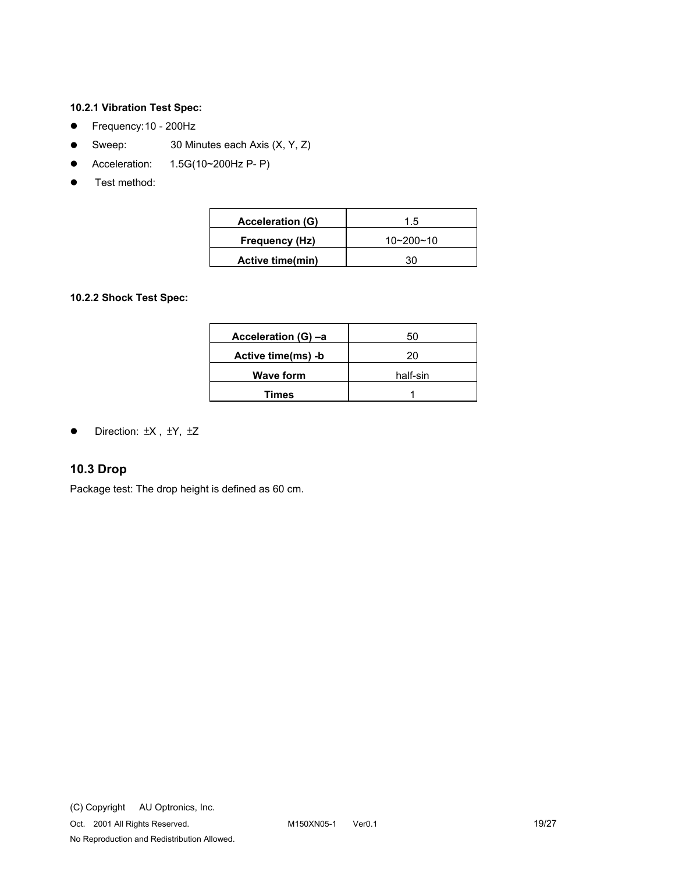#### **10.2.1 Vibration Test Spec:**

- Frequency: 10 200Hz
- Sweep:  $30$  Minutes each Axis  $(X, Y, Z)$
- $\bullet$  Acceleration: 1.5G(10~200Hz P- P)
- Test method:

| <b>Acceleration (G)</b> | 1.5             |
|-------------------------|-----------------|
| Frequency (Hz)          | $10 - 200 - 10$ |
| <b>Active time(min)</b> | 30              |

#### **10.2.2 Shock Test Spec:**

| Acceleration (G) -a | 50       |
|---------------------|----------|
| Active time(ms) -b  | 20       |
| <b>Wave form</b>    | half-sin |
| Times               |          |

• Direction:  $\pm$ X,  $\pm$ Y,  $\pm$ Z

## **10.3 Drop**

Package test: The drop height is defined as 60 cm.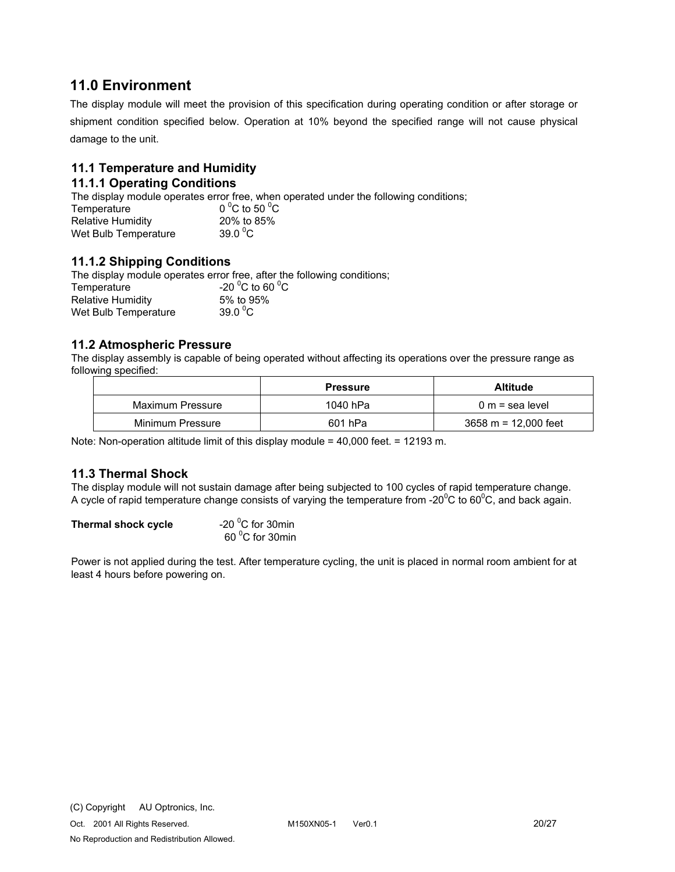# **11.0 Environment**

The display module will meet the provision of this specification during operating condition or after storage or shipment condition specified below. Operation at 10% beyond the specified range will not cause physical damage to the unit.

# **11.1 Temperature and Humidity**

### **11.1.1 Operating Conditions**

The display module operates error free, when operated under the following conditions;

| Temperature          | $0^{\circ}$ C to 50 $^{\circ}$ C |
|----------------------|----------------------------------|
| Relative Humidity    | 20% to 85%                       |
| Wet Bulb Temperature | 39.0 $\mathrm{^0C}$              |

### **11.1.2 Shipping Conditions**

The display module operates error free, after the following conditions; Temperature C to 60  $^{\circ}$ C Relative Humidity 5% to 95% Wet Bulb Temperature 39.0 $\mathrm{^0C}$ 

### **11.2 Atmospheric Pressure**

The display assembly is capable of being operated without affecting its operations over the pressure range as following specified:

|                  | <b>Pressure</b> | Altitude               |
|------------------|-----------------|------------------------|
| Maximum Pressure | 1040 hPa        | 0 m = sea level        |
| Minimum Pressure | 601 hPa         | $3658 m = 12,000$ feet |

Note: Non-operation altitude limit of this display module = 40,000 feet. = 12193 m.

### **11.3 Thermal Shock**

The display module will not sustain damage after being subjected to 100 cycles of rapid temperature change. A cycle of rapid temperature change consists of varying the temperature from -20 $\rm{^0C}$  to 60 $\rm{^0C}$ , and back again.

| Thermal shock cycle | -20 $\mathrm{^0C}$ for 30min |  |  |
|---------------------|------------------------------|--|--|
|                     | 60 °C for 30min              |  |  |

Power is not applied during the test. After temperature cycling, the unit is placed in normal room ambient for at least 4 hours before powering on.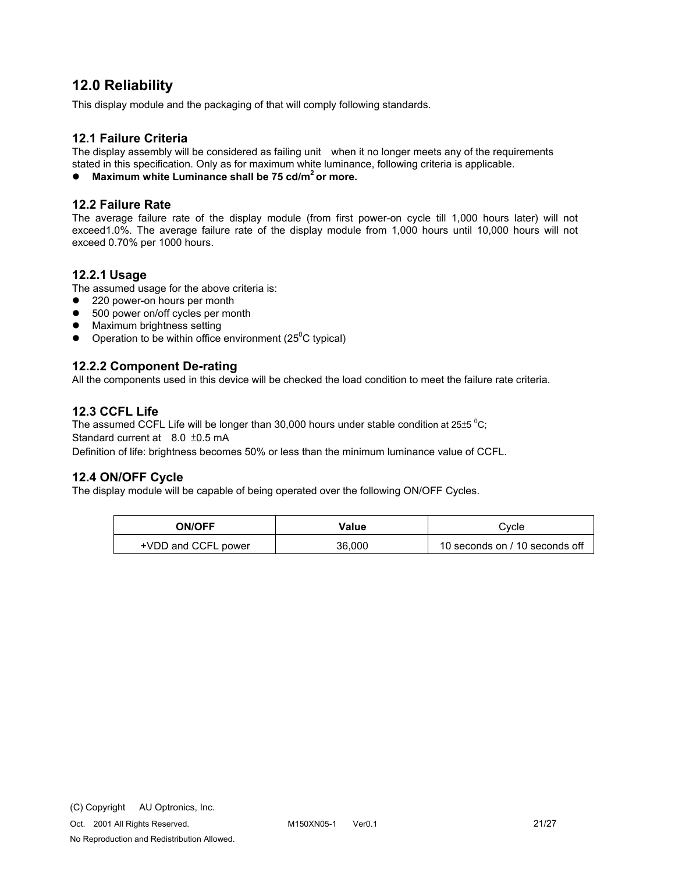# **12.0 Reliability**

This display module and the packaging of that will comply following standards.

### **12.1 Failure Criteria**

The display assembly will be considered as failing unit when it no longer meets any of the requirements stated in this specification. Only as for maximum white luminance, following criteria is applicable.

● Maximum white Luminance shall be 75 cd/m<sup>2</sup> or more.

#### **12.2 Failure Rate**

The average failure rate of the display module (from first power-on cycle till 1,000 hours later) will not exceed1.0%. The average failure rate of the display module from 1,000 hours until 10,000 hours will not exceed 0.70% per 1000 hours.

#### **12.2.1 Usage**

The assumed usage for the above criteria is:

- 220 power-on hours per month
- 500 power on/off cycles per month
- Maximum brightness setting
- Operation to be within office environment ( $25^{\circ}$ C typical)

#### **12.2.2 Component De-rating**

All the components used in this device will be checked the load condition to meet the failure rate criteria.

### **12.3 CCFL Life**

The assumed CCFL Life will be longer than 30,000 hours under stable condition at 25 $\pm$ 5  $^{\rm o}$ C; Standard current at  $8.0 \pm 0.5$  mA Definition of life: brightness becomes 50% or less than the minimum luminance value of CCFL.

#### **12.4 ON/OFF Cycle**

The display module will be capable of being operated over the following ON/OFF Cycles.

| <b>ON/OFF</b>       | Value  | Cvcle                          |
|---------------------|--------|--------------------------------|
| +VDD and CCFL power | 36.000 | 10 seconds on / 10 seconds off |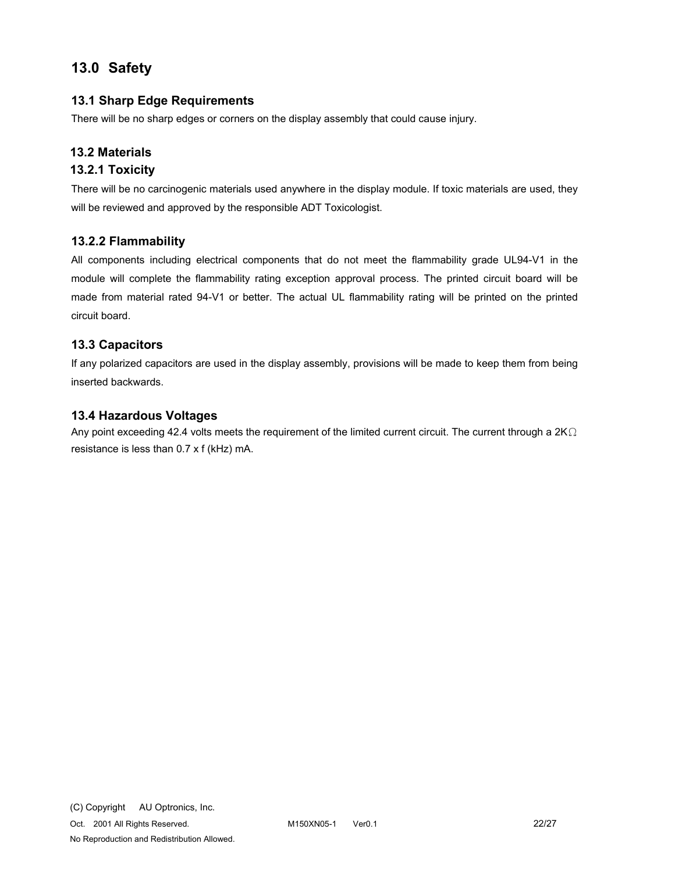# **13.0 Safety**

## **13.1 Sharp Edge Requirements**

There will be no sharp edges or corners on the display assembly that could cause injury.

### **13.2 Materials**

### **13.2.1 Toxicity**

There will be no carcinogenic materials used anywhere in the display module. If toxic materials are used, they will be reviewed and approved by the responsible ADT Toxicologist.

### **13.2.2 Flammability**

All components including electrical components that do not meet the flammability grade UL94-V1 in the module will complete the flammability rating exception approval process. The printed circuit board will be made from material rated 94-V1 or better. The actual UL flammability rating will be printed on the printed circuit board.

### **13.3 Capacitors**

If any polarized capacitors are used in the display assembly, provisions will be made to keep them from being inserted backwards.

### **13.4 Hazardous Voltages**

Any point exceeding 42.4 volts meets the requirement of the limited current circuit. The current through a  $2K\Omega$ resistance is less than 0.7 x f (kHz) mA.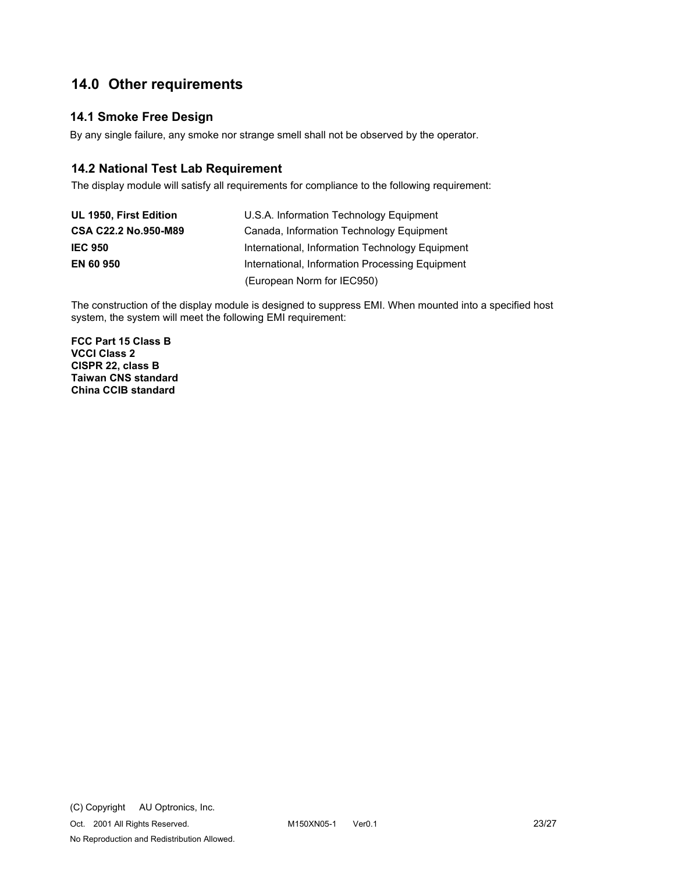# **14.0 Other requirements**

## **14.1 Smoke Free Design**

By any single failure, any smoke nor strange smell shall not be observed by the operator.

## **14.2 National Test Lab Requirement**

The display module will satisfy all requirements for compliance to the following requirement:

| UL 1950, First Edition | U.S.A. Information Technology Equipment         |
|------------------------|-------------------------------------------------|
| CSA C22.2 No.950-M89   | Canada, Information Technology Equipment        |
| <b>IEC 950</b>         | International, Information Technology Equipment |
| <b>EN 60 950</b>       | International, Information Processing Equipment |
|                        | (European Norm for IEC950)                      |

The construction of the display module is designed to suppress EMI. When mounted into a specified host system, the system will meet the following EMI requirement:

**FCC Part 15 Class B VCCI Class 2 CISPR 22, class B Taiwan CNS standard China CCIB standard**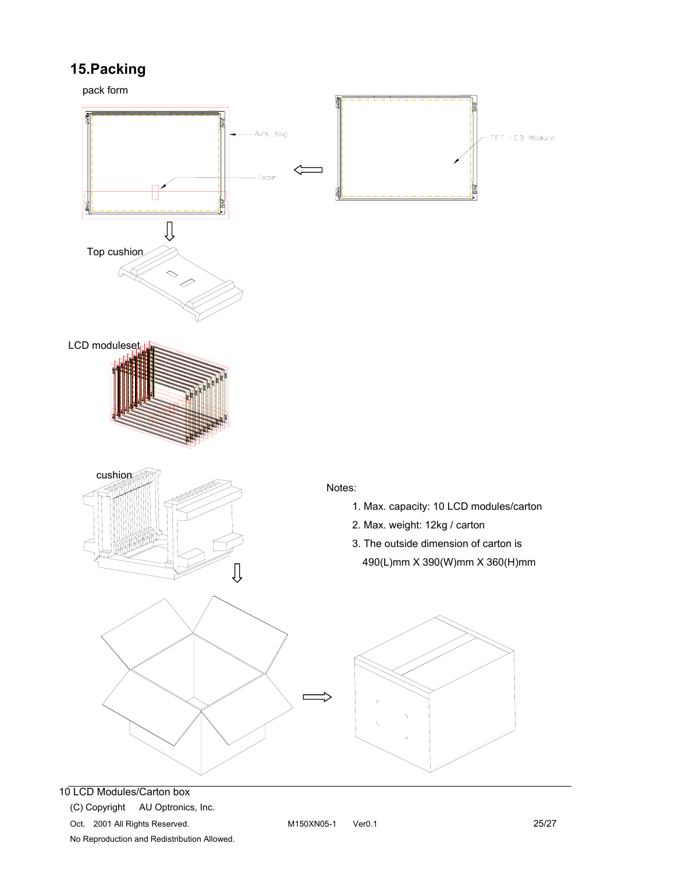# **15.Packing**

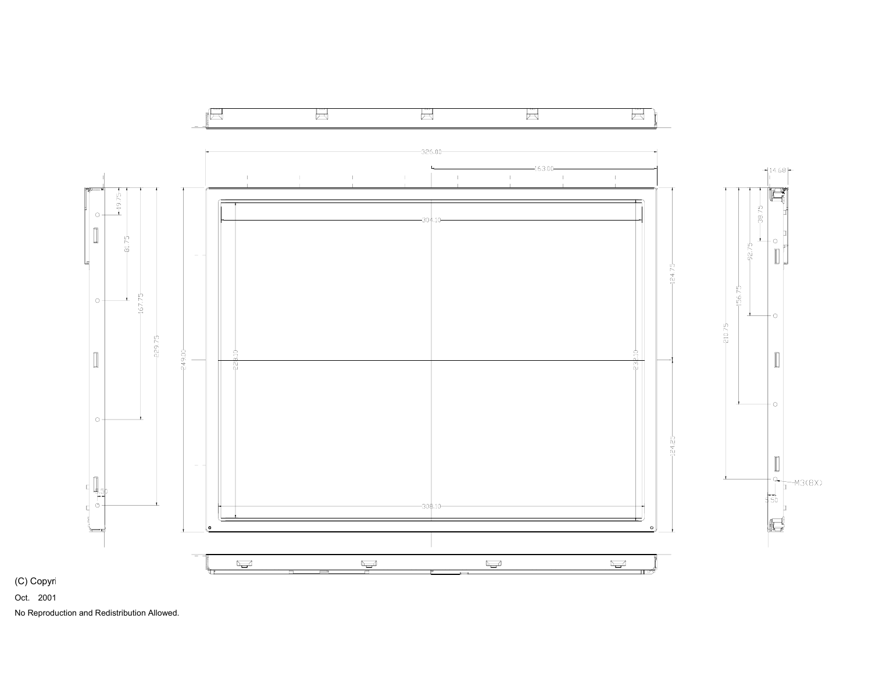

(C) Copyri